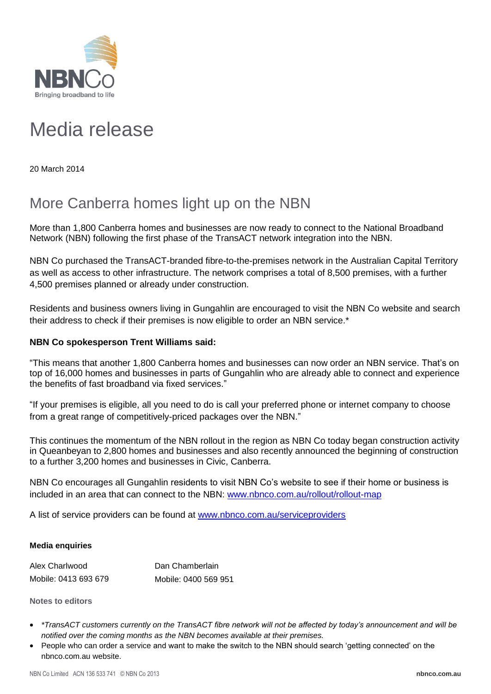

## Media release

20 March 2014

## More Canberra homes light up on the NBN

More than 1,800 Canberra homes and businesses are now ready to connect to the National Broadband Network (NBN) following the first phase of the TransACT network integration into the NBN.

NBN Co purchased the TransACT-branded fibre-to-the-premises network in the Australian Capital Territory as well as access to other infrastructure. The network comprises a total of 8,500 premises, with a further 4,500 premises planned or already under construction.

Residents and business owners living in Gungahlin are encouraged to visit the NBN Co website and search their address to check if their premises is now eligible to order an NBN service.\*

## **NBN Co spokesperson Trent Williams said:**

"This means that another 1,800 Canberra homes and businesses can now order an NBN service. That's on top of 16,000 homes and businesses in parts of Gungahlin who are already able to connect and experience the benefits of fast broadband via fixed services."

"If your premises is eligible, all you need to do is call your preferred phone or internet company to choose from a great range of competitively-priced packages over the NBN."

This continues the momentum of the NBN rollout in the region as NBN Co today began construction activity in Queanbeyan to 2,800 homes and businesses and also recently announced the beginning of construction to a further 3,200 homes and businesses in Civic, Canberra.

NBN Co encourages all Gungahlin residents to visit NBN Co's website to see if their home or business is included in an area that can connect to the NBN: [www.nbnco.com.au/rollout/rollout-map](http://www.nbnco.com.au/rollout/rollout-map)

A list of service providers can be found at [www.nbnco.com.au/serviceproviders](http://www.nbnco.com.au/serviceproviders)

## **Media enquiries**

| Alex Charlwood       | Dan Chamberlain      |
|----------------------|----------------------|
| Mobile: 0413 693 679 | Mobile: 0400 569 951 |

**Notes to editors**

- *\*TransACT customers currently on the TransACT fibre network will not be affected by today's announcement and will be notified over the coming months as the NBN becomes available at their premises.*
- People who can order a service and want to make the switch to the NBN should search 'getting connected' on the nbnco.com.au website.